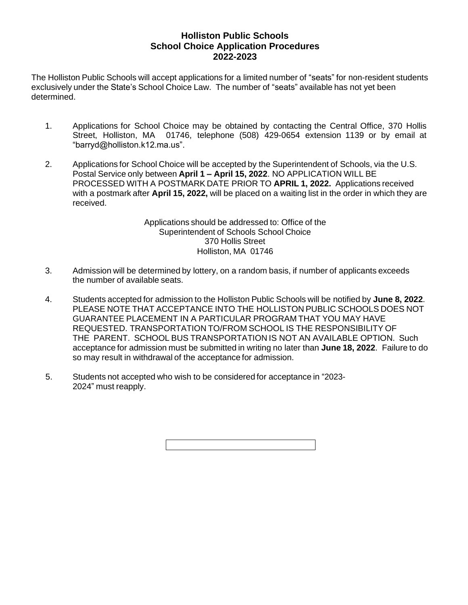## **Holliston Public Schools School Choice Application Procedures 2022-2023**

The Holliston Public Schools will accept applications for a limited number of "seats" for non-resident students exclusively under the State's School Choice Law. The number of "seats" available has not yet been determined.

- 1. Applications for School Choice may be obtained by contacting the Central Office, 370 Hollis Street, Holliston, MA 01746, telephone (508) 429-0654 extension 1139 or by email at "barryd@holliston.k12.ma.us".
- 2. Applications for School Choice will be accepted by the Superintendent of Schools, via the U.S. Postal Service only between **April 1 – April 15, 2022**. NO APPLICATION WILL BE PROCESSED WITH A POSTMARK DATE PRIOR TO **APRIL 1, 2022.** Applications received with a postmark after **April 15, 2022,** will be placed on a waiting list in the order in which they are received.

Applications should be addressed to: Office of the Superintendent of Schools School Choice 370 Hollis Street Holliston, MA 01746

- 3. Admission will be determined by lottery, on a random basis, if number of applicants exceeds the number of available seats.
- 4. Students accepted for admission to the Holliston Public Schools will be notified by **June 8, 2022**. PLEASE NOTE THAT ACCEPTANCE INTO THE HOLLISTON PUBLIC SCHOOLS DOES NOT GUARANTEE PLACEMENT IN A PARTICULAR PROGRAM THAT YOU MAY HAVE REQUESTED. TRANSPORTATION TO/FROM SCHOOL IS THE RESPONSIBILITY OF THE PARENT. SCHOOL BUS TRANSPORTATION IS NOT AN AVAILABLE OPTION. Such acceptance for admission must be submitted in writing no later than **June 18, 2022**. Failure to do so may result in withdrawal of the acceptance for admission.
- 5. Students not accepted who wish to be considered for acceptance in "2023- 2024" must reapply.